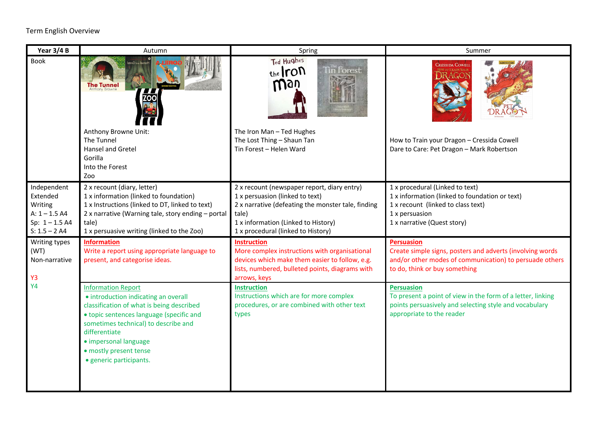| Year 3/4 B                                                                                   | Autumn                                                                                                                                                                                                                                                                                            | Spring                                                                                                                                                                                                                     | Summer                                                                                                                                                                     |
|----------------------------------------------------------------------------------------------|---------------------------------------------------------------------------------------------------------------------------------------------------------------------------------------------------------------------------------------------------------------------------------------------------|----------------------------------------------------------------------------------------------------------------------------------------------------------------------------------------------------------------------------|----------------------------------------------------------------------------------------------------------------------------------------------------------------------------|
| <b>Book</b>                                                                                  | <b>The Tunnel</b>                                                                                                                                                                                                                                                                                 | Ted Hughes<br>$the$ ron<br>fin Forest<br>man                                                                                                                                                                               | <b>CRESSIDA COWELI</b>                                                                                                                                                     |
|                                                                                              | Anthony Browne Unit:<br>The Tunnel                                                                                                                                                                                                                                                                | The Iron Man - Ted Hughes<br>The Lost Thing - Shaun Tan                                                                                                                                                                    | How to Train your Dragon - Cressida Cowell                                                                                                                                 |
|                                                                                              | <b>Hansel and Gretel</b><br>Gorilla<br>Into the Forest<br>Zoo                                                                                                                                                                                                                                     | Tin Forest - Helen Ward                                                                                                                                                                                                    | Dare to Care: Pet Dragon - Mark Robertson                                                                                                                                  |
| Independent<br>Extended<br>Writing<br>$A: 1 - 1.5 A4$<br>Sp: $1 - 1.5$ A4<br>$S: 1.5 - 2 A4$ | 2 x recount (diary, letter)<br>1 x information (linked to foundation)<br>1 x Instructions (linked to DT, linked to text)<br>2 x narrative (Warning tale, story ending - portal<br>tale)<br>1 x persuasive writing (linked to the Zoo)                                                             | 2 x recount (newspaper report, diary entry)<br>1 x persuasion (linked to text)<br>2 x narrative (defeating the monster tale, finding<br>tale)<br>1 x information (Linked to History)<br>1 x procedural (linked to History) | 1 x procedural (Linked to text)<br>1 x information (linked to foundation or text)<br>1 x recount (linked to class text)<br>1 x persuasion<br>1 x narrative (Quest story)   |
| Writing types<br>(WT)<br>Non-narrative<br>Y3<br><b>Y4</b>                                    | <b>Information</b><br>Write a report using appropriate language to<br>present, and categorise ideas.                                                                                                                                                                                              | <b>Instruction</b><br>More complex instructions with organisational<br>devices which make them easier to follow, e.g.<br>lists, numbered, bulleted points, diagrams with<br>arrows, keys                                   | <b>Persuasion</b><br>Create simple signs, posters and adverts (involving words<br>and/or other modes of communication) to persuade others<br>to do, think or buy something |
|                                                                                              | <b>Information Report</b><br>• introduction indicating an overall<br>classification of what is being described<br>• topic sentences language (specific and<br>sometimes technical) to describe and<br>differentiate<br>· impersonal language<br>· mostly present tense<br>· generic participants. | <b>Instruction</b><br>Instructions which are for more complex<br>procedures, or are combined with other text<br>types                                                                                                      | <b>Persuasion</b><br>To present a point of view in the form of a letter, linking<br>points persuasively and selecting style and vocabulary<br>appropriate to the reader    |